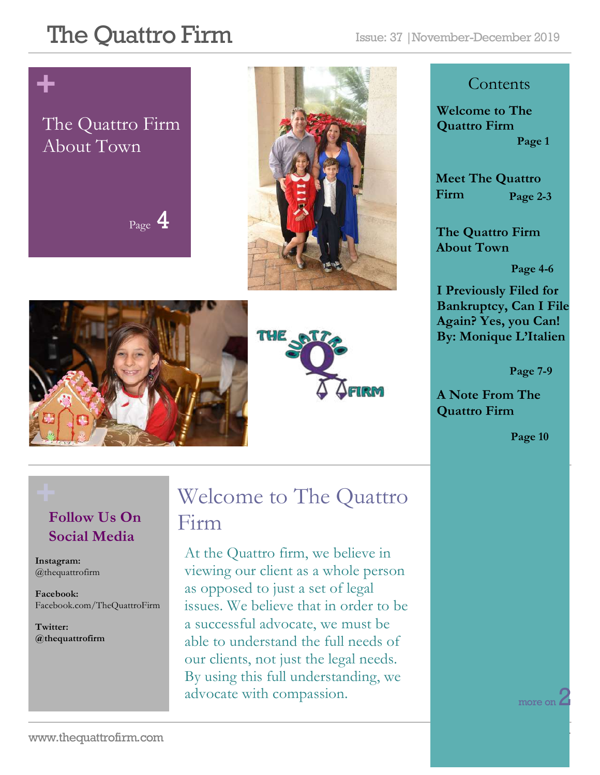# **+**

### The Quattro Firm About Town

Page 4







#### **Contents**

**Welcome to The Quattro Firm Page 1**

**Meet The Quattro Firm Page 2-3**

**The Quattro Firm About Town**

**Page 4-6**

**I Previously Filed for Bankruptcy, Can I File Again? Yes, you Can! By: Monique L'Italien**

 **Page 7-9**

**A Note From The Quattro Firm** 

**Page 10**

#### **Follow Us On Social Media**

**Instagram:**  @thequattrofirm

**Facebook:** Facebook.com/TheQuattroFirm

**Twitter: @thequattrofirm**

### **+** Welcome to The Quattro Firm

At the Quattro firm, we believe in viewing our client as a whole person as opposed to just a set of legal issues. We believe that in order to be a successful advocate, we must be able to understand the full needs of our clients, not just the legal needs. By using this full understanding, we advocate with compassion.

more on  $\angle$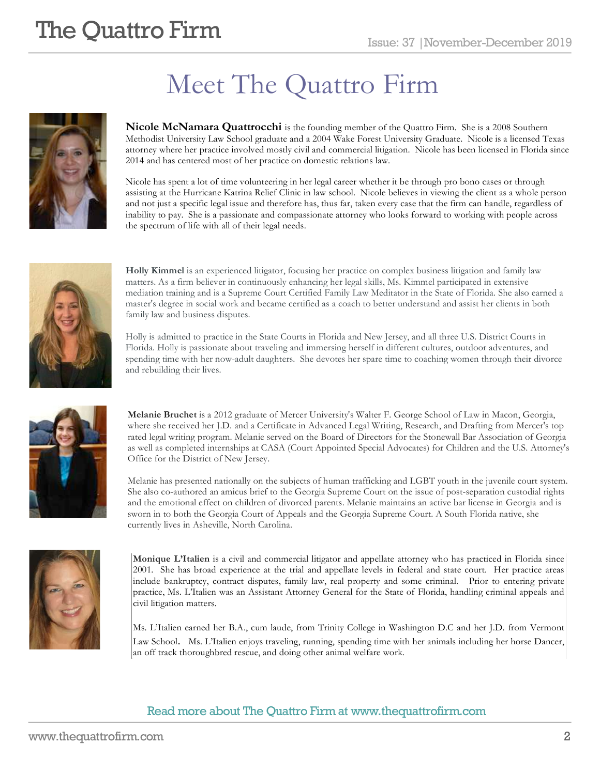# Meet The Quattro Firm

**Nicole McNamara Quattrocchi** is the founding member of the Quattro Firm. She is a 2008 Southern Methodist University Law School graduate and a 2004 Wake Forest University Graduate. Nicole is a licensed Texas attorney where her practice involved mostly civil and commercial litigation. Nicole has been licensed in Florida since 2014 and has centered most of her practice on domestic relations law.

Nicole has spent a lot of time volunteering in her legal career whether it be through pro bono cases or through assisting at the Hurricane Katrina Relief Clinic in law school. Nicole believes in viewing the client as a whole person and not just a specific legal issue and therefore has, thus far, taken every case that the firm can handle, regardless of inability to pay. She is a passionate and compassionate attorney who looks forward to working with people across the spectrum of life with all of their legal needs.



**Holly Kimmel** is an experienced litigator, focusing her practice on complex business litigation and family law matters. As a firm believer in continuously enhancing her legal skills, Ms. Kimmel participated in extensive mediation training and is a Supreme Court Certified Family Law Meditator in the State of Florida. She also earned a master's degree in social work and became certified as a coach to better understand and assist her clients in both family law and business disputes.

Holly is admitted to practice in the State Courts in Florida and New Jersey, and all three U.S. District Courts in Florida. Holly is passionate about traveling and immersing herself in different cultures, outdoor adventures, and spending time with her now-adult daughters. She devotes her spare time to coaching women through their divorce and rebuilding their lives.



**Melanie Bruchet** is a 2012 graduate of Mercer University's Walter F. George School of Law in Macon, Georgia, where she received her J.D. and a Certificate in Advanced Legal Writing, Research, and Drafting from Mercer's top rated legal writing program. Melanie served on the Board of Directors for the Stonewall Bar Association of Georgia as well as completed internships at CASA (Court Appointed Special Advocates) for Children and the U.S. Attorney's Office for the District of New Jersey.

Melanie has presented nationally on the subjects of human trafficking and LGBT youth in the juvenile court system. She also co-authored an amicus brief to the Georgia Supreme Court on the issue of post-separation custodial rights and the emotional effect on children of divorced parents. Melanie maintains an active bar license in Georgia and is sworn in to both the Georgia Court of Appeals and the Georgia Supreme Court. A South Florida native, she currently lives in Asheville, North Carolina.



**Monique L'Italien** is a civil and commercial litigator and appellate attorney who has practiced in Florida since 2001. She has broad experience at the trial and appellate levels in federal and state court. Her practice areas include bankruptcy, contract disputes, family law, real property and some criminal. Prior to entering private practice, Ms. L'Italien was an Assistant Attorney General for the State of Florida, handling criminal appeals and civil litigation matters.

Ms. L'Italien earned her B.A., cum laude, from Trinity College in Washington D.C and her J.D. from Vermont Law School. Ms. L'Italien enjoys traveling, running, spending time with her animals including her horse Dancer, an off track thoroughbred rescue, and doing other animal welfare work.

#### Read more about The Quattro Firm at www.thequattrofirm.com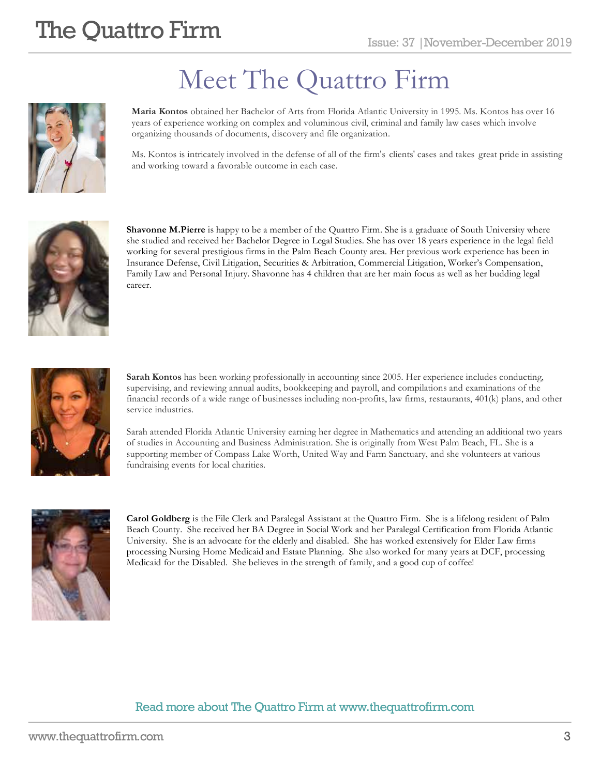

# Meet The Quattro Firm

**Maria Kontos** obtained her Bachelor of Arts from Florida Atlantic University in 1995. Ms. Kontos has over 16 years of experience working on complex and voluminous civil, criminal and family law cases which involve organizing thousands of documents, discovery and file organization.

Ms. Kontos is intricately involved in the defense of all of the firm's clients' cases and takes great pride in assisting and working toward a favorable outcome in each case.



**Shavonne M.Pierre** is happy to be a member of the Quattro Firm. She is a graduate of South University where she studied and received her Bachelor Degree in Legal Studies. She has over 18 years experience in the legal field working for several prestigious firms in the Palm Beach County area. Her previous work experience has been in Insurance Defense, Civil Litigation, Securities & Arbitration, Commercial Litigation, Worker's Compensation, Family Law and Personal Injury. Shavonne has 4 children that are her main focus as well as her budding legal career.



**Sarah Kontos** has been working professionally in accounting since 2005. Her experience includes conducting, supervising, and reviewing annual audits, bookkeeping and payroll, and compilations and examinations of the financial records of a wide range of businesses including non-profits, law firms, restaurants, 401(k) plans, and other service industries.

Sarah attended Florida Atlantic University earning her degree in Mathematics and attending an additional two years of studies in Accounting and Business Administration. She is originally from West Palm Beach, FL. She is a supporting member of Compass Lake Worth, United Way and Farm Sanctuary, and she volunteers at various fundraising events for local charities.



**Carol Goldberg** is the File Clerk and Paralegal Assistant at the Quattro Firm. She is a lifelong resident of Palm Beach County. She received her BA Degree in Social Work and her Paralegal Certification from Florida Atlantic University. She is an advocate for the elderly and disabled. She has worked extensively for Elder Law firms processing Nursing Home Medicaid and Estate Planning. She also worked for many years at DCF, processing Medicaid for the Disabled. She believes in the strength of family, and a good cup of coffee!

#### Read more about The Quattro Firm at www.thequattrofirm.com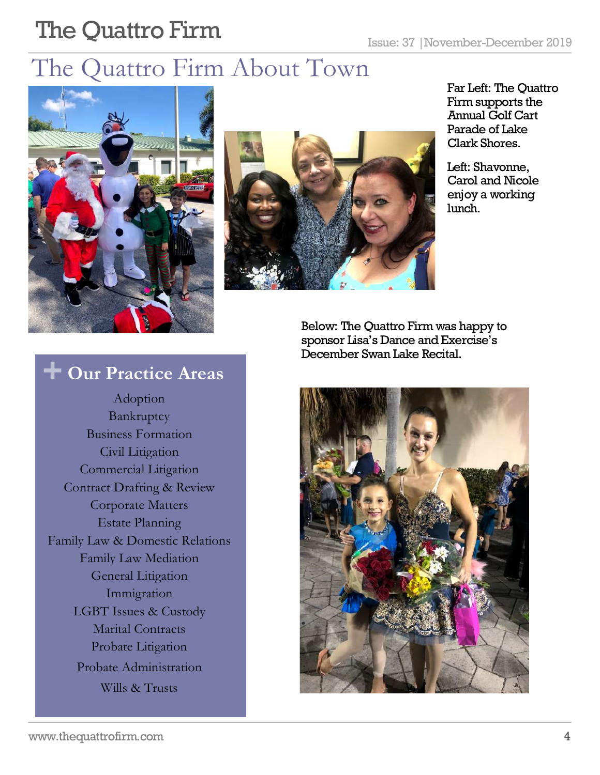### The Quattro Firm About Town





Far Left: The Quattro Firm supports the Annual Golf Cart Parade of Lake Clark Shores.

Left: Shavonne, Carol and Nicole enjoy a working lunch.

Below: The Quattro Firm was happy to sponsor Lisa's Dance and Exercise's December Swan Lake Recital.



### **+ Our Practice Areas**

Adoption Bankruptcy Business Formation Civil Litigation Commercial Litigation Contract Drafting & Review Corporate Matters Estate Planning Family Law & Domestic Relations Family Law Mediation General Litigation Immigration LGBT Issues & Custody Marital Contracts Probate Litigation Probate Administration Wills & Trusts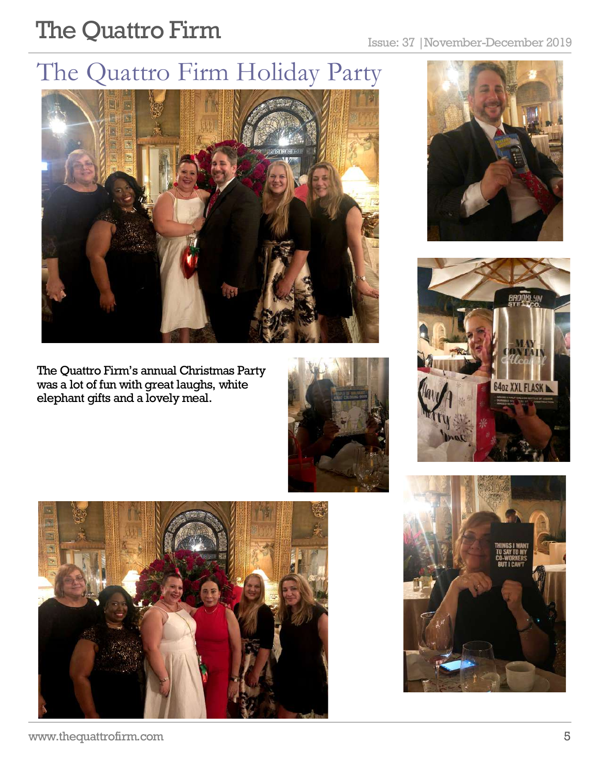### The Quattro Firm Holiday Party



The Quattro Firm's annual Christmas Party was a lot of fun with great laughs, white elephant gifts and a lovely meal.









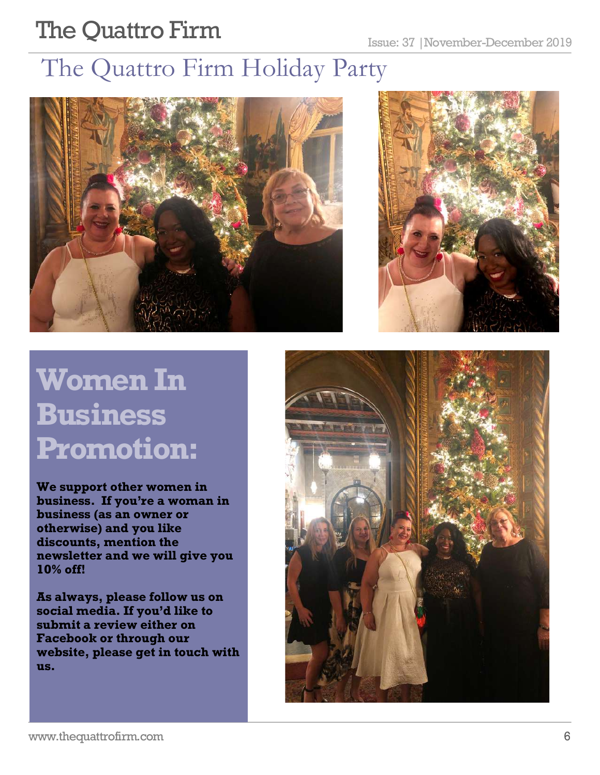### The Quattro Firm Holiday Party





# **Women In Business Promotion:**

**We support other women in business. If you're a woman in business (as an owner or otherwise) and you like discounts, mention the newsletter and we will give you 10% off!** 

**As always, please follow us on social media. If you'd like to submit a review either on Facebook or through our website, please get in touch with us.** 

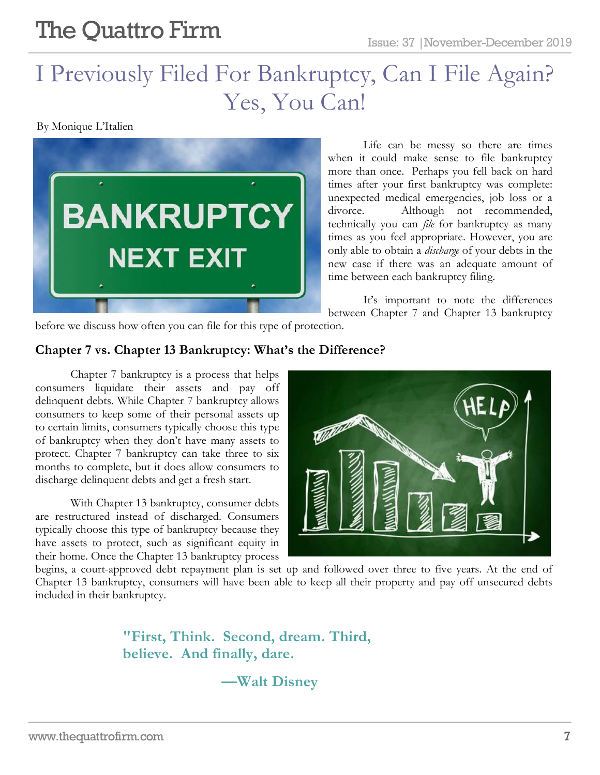### I Previously Filed For Bankruptcy, Can I File Again? Yes, You Can!

By Monique L'Italien



Life can be messy so there are times when it could make sense to file bankruptcy more than once. Perhaps you fell back on hard times after your first bankruptcy was complete: unexpected medical emergencies, job loss or a divorce. Although not recommended, technically you can *file* for bankruptcy as many times as you feel appropriate. However, you are only able to obtain a *discharge* of your debts in the new case if there was an adequate amount of time between each bankruptcy filing.

It's important to note the differences between Chapter 7 and Chapter 13 bankruptcy

before we discuss how often you can file for this type of protection.

#### **Chapter 7 vs. Chapter 13 Bankruptcy: What's the Difference?**

Chapter 7 bankruptcy is a process that helps consumers liquidate their assets and pay off delinquent debts. While Chapter 7 bankruptcy allows consumers to keep some of their personal assets up to certain limits, consumers typically choose this type of bankruptcy when they don't have many assets to protect. Chapter 7 bankruptcy can take three to six months to complete, but it does allow consumers to discharge delinquent debts and get a fresh start.

With Chapter 13 bankruptcy, consumer debts are restructured instead of discharged. Consumers typically choose this type of bankruptcy because they have assets to protect, such as significant equity in their home. Once the Chapter 13 bankruptcy process



begins, a court-approved debt repayment plan is set up and followed over three to five years. At the end of Chapter 13 bankruptcy, consumers will have been able to keep all their property and pay off unsecured debts included in their bankruptcy.

> **"First, Think. Second, dream. Third, believe. And finally, dare.**

> > **—Walt Disney**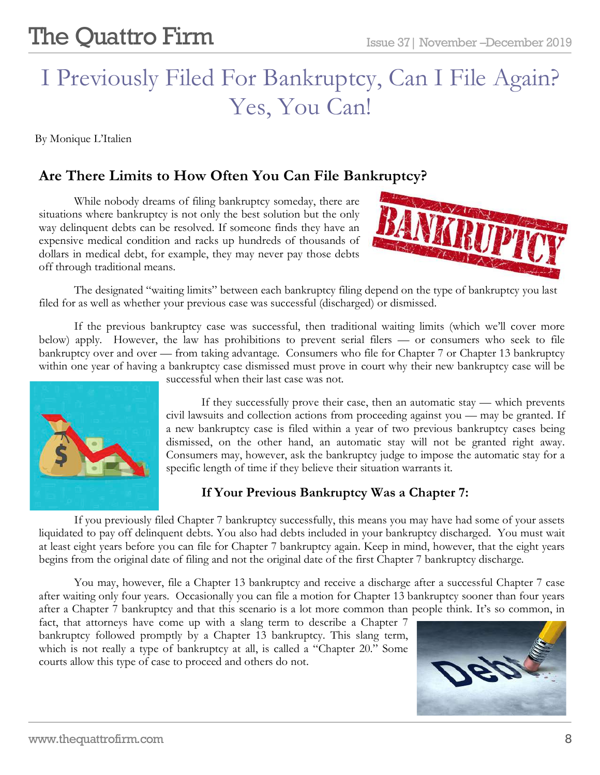### I Previously Filed For Bankruptcy, Can I File Again? Yes, You Can!

By Monique L'Italien

#### **Are There Limits to How Often You Can File Bankruptcy?**

While nobody dreams of filing bankruptcy someday, there are situations where bankruptcy is not only the best solution but the only way delinquent debts can be resolved. If someone finds they have an expensive medical condition and racks up hundreds of thousands of dollars in medical debt, for example, they may never pay those debts off through traditional means.



The designated "waiting limits" between each bankruptcy filing depend on the type of bankruptcy you last filed for as well as whether your previous case was successful (discharged) or dismissed.

If the previous bankruptcy case was successful, then traditional waiting limits (which we'll cover more below) apply. However, the law has prohibitions to prevent serial filers — or consumers who seek to file bankruptcy over and over — from taking advantage. Consumers who file for Chapter 7 or Chapter 13 bankruptcy within one year of having a bankruptcy case dismissed must prove in court why their new bankruptcy case will be



successful when their last case was not.

If they successfully prove their case, then an automatic stay — which prevents civil lawsuits and collection actions from proceeding against you — may be granted. If a new bankruptcy case is filed within a year of two previous bankruptcy cases being dismissed, on the other hand, an automatic stay will not be granted right away. Consumers may, however, ask the bankruptcy judge to impose the automatic stay for a specific length of time if they believe their situation warrants it.

#### **If Your Previous Bankruptcy Was a Chapter 7:**

If you previously filed Chapter 7 bankruptcy successfully, this means you may have had some of your assets liquidated to pay off delinquent debts. You also had debts included in your bankruptcy discharged. You must wait at least eight years before you can file for Chapter 7 bankruptcy again. Keep in mind, however, that the eight years begins from the original date of filing and not the original date of the first Chapter 7 bankruptcy discharge.

You may, however, file a Chapter 13 bankruptcy and receive a discharge after a successful Chapter 7 case after waiting only four years. Occasionally you can file a motion for Chapter 13 bankruptcy sooner than four years after a Chapter 7 bankruptcy and that this scenario is a lot more common than people think. It's so common, in

j

fact, that attorneys have come up with a slang term to describe a Chapter 7 bankruptcy followed promptly by a Chapter 13 bankruptcy. This slang term, which is not really a type of bankruptcy at all, is called a "Chapter 20." Some courts allow this type of case to proceed and others do not.

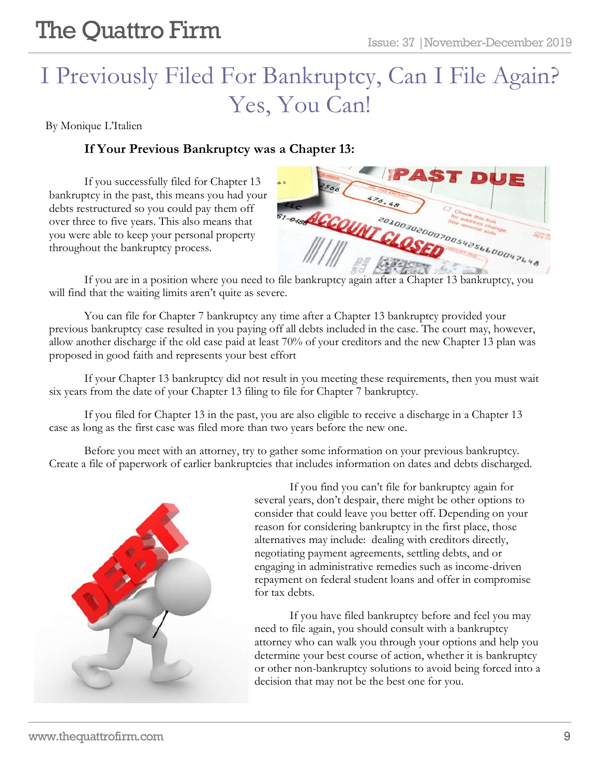### I Previously Filed For Bankruptcy, Can I File Again? Yes, You Can!

By Monique L'Italien

#### **If Your Previous Bankruptcy was a Chapter 13:**

If you successfully filed for Chapter 13 bankruptcy in the past, this means you had your debts restructured so you could pay them off over three to five years. This also means that you were able to keep your personal property throughout the bankruptcy process.

| a.1<br>$s_{\sigma_{\sigma}}$ |        | <b>PAST DUE</b>                       |  |
|------------------------------|--------|---------------------------------------|--|
|                              | 476.48 | Check this box<br>for address change. |  |
| <b>ST-918 ACCOUNT CLOSED</b> |        | 2010030200070054256600047648          |  |
|                              |        |                                       |  |

If you are in a position where you need to file bankruptcy again after a Chapter 13 bankruptcy, you will find that the waiting limits aren't quite as severe.

You can file for Chapter 7 bankruptcy any time after a Chapter 13 bankruptcy provided your previous bankruptcy case resulted in you paying off all debts included in the case. The court may, however, allow another discharge if the old case paid at least 70% of your creditors and the new Chapter 13 plan was proposed in good faith and represents your best effort

If your Chapter 13 bankruptcy did not result in you meeting these requirements, then you must wait six years from the date of your Chapter 13 filing to file for Chapter 7 bankruptcy.

If you filed for Chapter 13 in the past, you are also eligible to receive a discharge in a Chapter 13 case as long as the first case was filed more than two years before the new one.

Before you meet with an attorney, try to gather some information on your previous bankruptcy. Create a file of paperwork of earlier bankruptcies that includes information on dates and debts discharged.



If you find you can't file for bankruptcy again for several years, don't despair, there might be other options to consider that could leave you better off. Depending on your reason for considering bankruptcy in the first place, those alternatives may include: dealing with creditors directly, negotiating payment agreements, settling debts, and or engaging in administrative remedies such as income-driven repayment on federal student loans and offer in compromise for tax debts.

If you have filed bankruptcy before and feel you may need to file again, you should consult with a bankruptcy attorney who can walk you through your options and help you determine your best course of action, whether it is bankruptcy or other non-bankruptcy solutions to avoid being forced into a decision that may not be the best one for you.